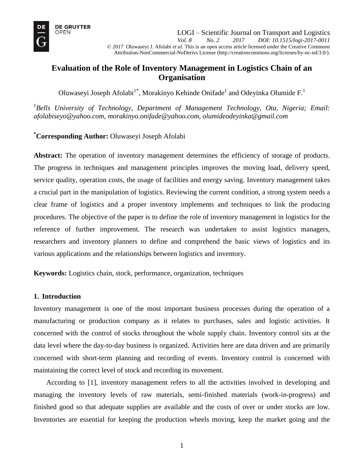

LOGI – Scientific Journal on Transport and Logistics<br>Vol. 8  $\frac{8}{10.2}$   $\frac{2017}{2017}$   $\frac{DOL}{10.1515/logi-2017-0011}$ *Vol. 8 No. 2 2017 DOI: 10.1515/logi-2017-0011* © 2017 Oluwaseyi J. Afolabi *et al*. This is an open access article licensed under the Creative Commons Attribution-NonCommercial-NoDerivs License (http://creativecommons.org/licenses/by-nc-nd/3.0/).

# **Evaluation of the Role of Inventory Management in Logistics Chain of an Organisation**

Oluwaseyi Joseph Afolabi<sup>1\*</sup>, Morakinyo Kehinde Onifade<sup>1</sup> and Odeyinka Olumide F.<sup>1</sup>

*1 Bells University of Technology, Department of Management Technology, Ota, Nigeria; Email: [afolabiseyo@yahoo.com,](mailto:afolabiseyo@yahoo.com) [morakinyo.onifade@yahoo.com,](mailto:morakinyo.onifade@yahoo.com) olumideodeyinka@gmail.com*

# **\*Corresponding Author:** Oluwaseyi Joseph Afolabi

**Abstract:** The operation of inventory management determines the efficiency of storage of products. The progress in techniques and management principles improves the moving load, delivery speed, service quality, operation costs, the usage of facilities and energy saving. Inventory management takes a crucial part in the manipulation of logistics. Reviewing the current condition, a strong system needs a clear frame of logistics and a proper inventory implements and techniques to link the producing procedures. The objective of the paper is to define the role of inventory management in logistics for the reference of further improvement. The research was undertaken to assist logistics managers, researchers and inventory planners to define and comprehend the basic views of logistics and its various applications and the relationships between logistics and inventory.

**Keywords:** Logistics chain, stock, performance, organization, techniques

# **1. Introduction**

Inventory management is one of the most important business processes during the operation of a manufacturing or production company as it relates to purchases, sales and logistic activities. It concerned with the control of stocks throughout the whole supply chain. Inventory control sits at the data level where the day-to-day business is organized. Activities here are data driven and are primarily concerned with short-term planning and recording of events. Inventory control is concerned with maintaining the correct level of stock and recording its movement.

According to [1], inventory management refers to all the activities involved in developing and managing the inventory levels of raw materials, semi-finished materials (work-in-progress) and finished good so that adequate supplies are available and the costs of over or under stocks are low. Inventories are essential for keeping the production wheels moving, keep the market going and the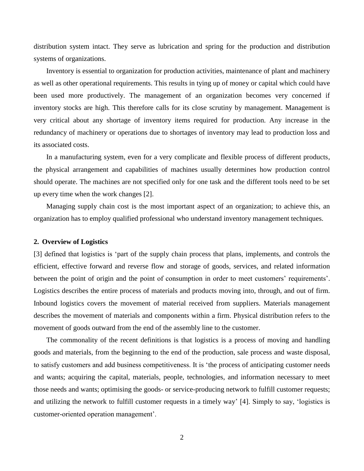distribution system intact. They serve as lubrication and spring for the production and distribution systems of organizations.

Inventory is essential to organization for production activities, maintenance of plant and machinery as well as other operational requirements. This results in tying up of money or capital which could have been used more productively. The management of an organization becomes very concerned if inventory stocks are high. This therefore calls for its close scrutiny by management. Management is very critical about any shortage of inventory items required for production. Any increase in the redundancy of machinery or operations due to shortages of inventory may lead to production loss and its associated costs.

In a manufacturing system, even for a very complicate and flexible process of different products, the physical arrangement and capabilities of machines usually determines how production control should operate. The machines are not specified only for one task and the different tools need to be set up every time when the work changes [2].

Managing supply chain cost is the most important aspect of an organization; to achieve this, an organization has to employ qualified professional who understand inventory management techniques.

#### **2. Overview of Logistics**

[3] defined that logistics is 'part of the supply chain process that plans, implements, and controls the efficient, effective forward and reverse flow and storage of goods, services, and related information between the point of origin and the point of consumption in order to meet customers' requirements'. Logistics describes the entire process of materials and products moving into, through, and out of firm. Inbound logistics covers the movement of material received from suppliers. Materials management describes the movement of materials and components within a firm. Physical distribution refers to the movement of goods outward from the end of the assembly line to the customer.

The commonality of the recent definitions is that logistics is a process of moving and handling goods and materials, from the beginning to the end of the production, sale process and waste disposal, to satisfy customers and add business competitiveness. It is 'the process of anticipating customer needs and wants; acquiring the capital, materials, people, technologies, and information necessary to meet those needs and wants; optimising the goods- or service-producing network to fulfill customer requests; and utilizing the network to fulfill customer requests in a timely way' [4]. Simply to say, 'logistics is customer-oriented operation management'.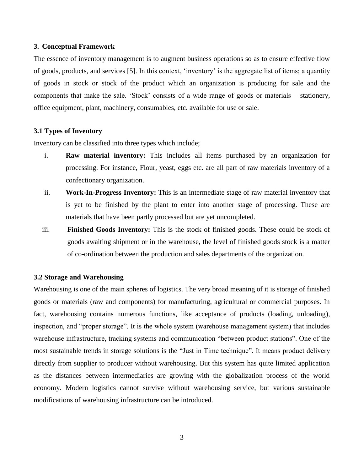#### **3. Conceptual Framework**

The essence of inventory management is to augment business operations so as to ensure effective flow of goods, products, and services [5]. In this context, 'inventory' is the aggregate list of items; a quantity of goods in stock or stock of the product which an organization is producing for sale and the components that make the sale. 'Stock' consists of a wide range of goods or materials – stationery, office equipment, plant, machinery, consumables, etc. available for use or sale.

# **3.1 Types of Inventory**

Inventory can be classified into three types which include;

- i. **Raw material inventory:** This includes all items purchased by an organization for processing. For instance, Flour, yeast, eggs etc. are all part of raw materials inventory of a confectionary organization.
- ii. **Work-In-Progress Inventory:** This is an intermediate stage of raw material inventory that is yet to be finished by the plant to enter into another stage of processing. These are materials that have been partly processed but are yet uncompleted.
- iii. **Finished Goods Inventory:** This is the stock of finished goods. These could be stock of goods awaiting shipment or in the warehouse, the level of finished goods stock is a matter of co-ordination between the production and sales departments of the organization.

### **3.2 Storage and Warehousing**

Warehousing is one of the main spheres of logistics. The very broad meaning of it is storage of finished goods or materials (raw and components) for manufacturing, agricultural or commercial purposes. In fact, warehousing contains numerous functions, like acceptance of products (loading, unloading), inspection, and "proper storage". It is the whole system (warehouse management system) that includes warehouse infrastructure, tracking systems and communication "between product stations". One of the most sustainable trends in storage solutions is the "Just in Time technique". It means product delivery directly from supplier to producer without warehousing. But this system has quite limited application as the distances between intermediaries are growing with the globalization process of the world economy. Modern logistics cannot survive without warehousing service, but various sustainable modifications of warehousing infrastructure can be introduced.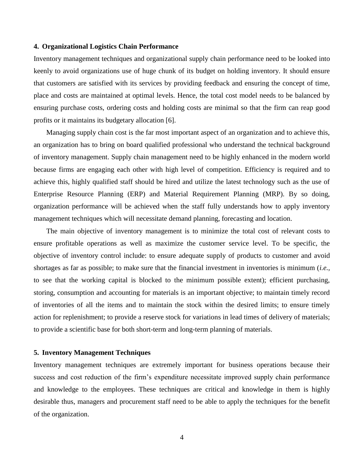#### **4. Organizational Logistics Chain Performance**

Inventory management techniques and organizational supply chain performance need to be looked into keenly to avoid organizations use of huge chunk of its budget on holding inventory. It should ensure that customers are satisfied with its services by providing feedback and ensuring the concept of time, place and costs are maintained at optimal levels. Hence, the total cost model needs to be balanced by ensuring purchase costs, ordering costs and holding costs are minimal so that the firm can reap good profits or it maintains its budgetary allocation [6].

Managing supply chain cost is the far most important aspect of an organization and to achieve this, an organization has to bring on board qualified professional who understand the technical background of inventory management. Supply chain management need to be highly enhanced in the modern world because firms are engaging each other with high level of competition. Efficiency is required and to achieve this, highly qualified staff should be hired and utilize the latest technology such as the use of Enterprise Resource Planning (ERP) and Material Requirement Planning (MRP). By so doing, organization performance will be achieved when the staff fully understands how to apply inventory management techniques which will necessitate demand planning, forecasting and location.

The main objective of inventory management is to minimize the total cost of relevant costs to ensure profitable operations as well as maximize the customer service level. To be specific, the objective of inventory control include: to ensure adequate supply of products to customer and avoid shortages as far as possible; to make sure that the financial investment in inventories is minimum (*i.e.,*  to see that the working capital is blocked to the minimum possible extent); efficient purchasing, storing, consumption and accounting for materials is an important objective; to maintain timely record of inventories of all the items and to maintain the stock within the desired limits; to ensure timely action for replenishment; to provide a reserve stock for variations in lead times of delivery of materials; to provide a scientific base for both short-term and long-term planning of materials.

# **5. Inventory Management Techniques**

Inventory management techniques are extremely important for business operations because their success and cost reduction of the firm's expenditure necessitate improved supply chain performance and knowledge to the employees. These techniques are critical and knowledge in them is highly desirable thus, managers and procurement staff need to be able to apply the techniques for the benefit of the organization.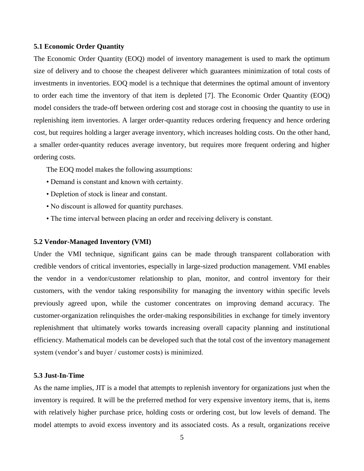#### **5.1 Economic Order Quantity**

The Economic Order Quantity (EOQ) model of inventory management is used to mark the optimum size of delivery and to choose the cheapest deliverer which guarantees minimization of total costs of investments in inventories. EOQ model is a technique that determines the optimal amount of inventory to order each time the inventory of that item is depleted [7]. The Economic Order Quantity (EOQ) model considers the trade-off between ordering cost and storage cost in choosing the quantity to use in replenishing item inventories. A larger order-quantity reduces ordering frequency and hence ordering cost, but requires holding a larger average inventory, which increases holding costs. On the other hand, a smaller order-quantity reduces average inventory, but requires more frequent ordering and higher ordering costs.

The EOQ model makes the following assumptions:

- Demand is constant and known with certainty.
- Depletion of stock is linear and constant.
- No discount is allowed for quantity purchases.
- The time interval between placing an order and receiving delivery is constant.

# **5.2 Vendor-Managed Inventory (VMI)**

Under the VMI technique, significant gains can be made through transparent collaboration with credible vendors of critical inventories, especially in large-sized production management. VMI enables the vendor in a vendor/customer relationship to plan, monitor, and control inventory for their customers, with the vendor taking responsibility for managing the inventory within specific levels previously agreed upon, while the customer concentrates on improving demand accuracy. The customer-organization relinquishes the order-making responsibilities in exchange for timely inventory replenishment that ultimately works towards increasing overall capacity planning and institutional efficiency. Mathematical models can be developed such that the total cost of the inventory management system (vendor's and buyer / customer costs) is minimized.

# **5.3 Just-In-Time**

As the name implies, JIT is a model that attempts to replenish inventory for organizations just when the inventory is required. It will be the preferred method for very expensive inventory items, that is, items with relatively higher purchase price, holding costs or ordering cost, but low levels of demand. The model attempts to avoid excess inventory and its associated costs. As a result, organizations receive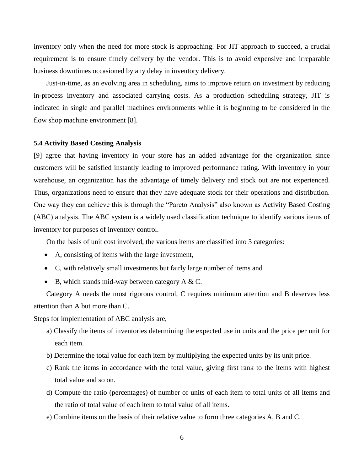inventory only when the need for more stock is approaching. For JIT approach to succeed, a crucial requirement is to ensure timely delivery by the vendor. This is to avoid expensive and irreparable business downtimes occasioned by any delay in inventory delivery.

Just-in-time, as an evolving area in scheduling, aims to improve return on investment by reducing in-process inventory and associated carrying costs. As a production scheduling strategy, JIT is indicated in single and parallel machines environments while it is beginning to be considered in the flow shop machine environment [8].

# **5.4 Activity Based Costing Analysis**

[9] agree that having inventory in your store has an added advantage for the organization since customers will be satisfied instantly leading to improved performance rating. With inventory in your warehouse, an organization has the advantage of timely delivery and stock out are not experienced. Thus, organizations need to ensure that they have adequate stock for their operations and distribution. One way they can achieve this is through the "Pareto Analysis" also known as Activity Based Costing (ABC) analysis. The ABC system is a widely used classification technique to identify various items of inventory for purposes of inventory control.

On the basis of unit cost involved, the various items are classified into 3 categories:

- A, consisting of items with the large investment,
- C, with relatively small investments but fairly large number of items and
- $\bullet$  B, which stands mid-way between category A & C.

Category A needs the most rigorous control, C requires minimum attention and B deserves less attention than A but more than C.

Steps for implementation of ABC analysis are,

- a) Classify the items of inventories determining the expected use in units and the price per unit for each item.
- b) Determine the total value for each item by multiplying the expected units by its unit price.
- c) Rank the items in accordance with the total value, giving first rank to the items with highest total value and so on.
- d) Compute the ratio (percentages) of number of units of each item to total units of all items and the ratio of total value of each item to total value of all items.
- e) Combine items on the basis of their relative value to form three categories A, B and C.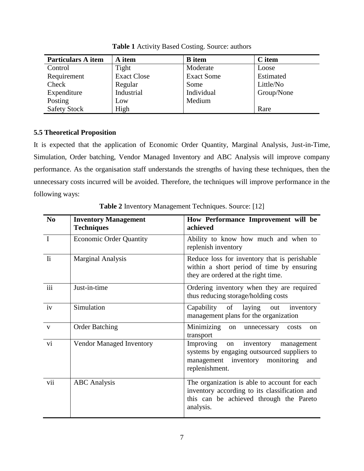| <b>Particulars A item</b> | A item             | <b>B</b> item     | C item     |
|---------------------------|--------------------|-------------------|------------|
| Control                   | Tight              | Moderate          | Loose      |
| Requirement               | <b>Exact Close</b> | <b>Exact Some</b> | Estimated  |
| Check                     | Regular            | Some              | Little/No  |
| Expenditure               | Industrial         | Individual        | Group/None |
| Posting                   | Low                | Medium            |            |
| <b>Safety Stock</b>       | High               |                   | Rare       |

**Table 1** Activity Based Costing. Source: authors

# **5.5 Theoretical Proposition**

It is expected that the application of Economic Order Quantity, Marginal Analysis, Just-in-Time, Simulation, Order batching, Vendor Managed Inventory and ABC Analysis will improve company performance. As the organisation staff understands the strengths of having these techniques, then the unnecessary costs incurred will be avoided. Therefore, the techniques will improve performance in the following ways:

| N <sub>0</sub>          | <b>Inventory Management</b><br><b>Techniques</b> | How Performance Improvement will be<br>achieved                                                                                                       |
|-------------------------|--------------------------------------------------|-------------------------------------------------------------------------------------------------------------------------------------------------------|
| $\mathbf{I}$            | <b>Economic Order Quantity</b>                   | Ability to know how much and when to<br>replenish inventory                                                                                           |
| $\overline{\mathbf{h}}$ | <b>Marginal Analysis</b>                         | Reduce loss for inventory that is perishable<br>within a short period of time by ensuring<br>they are ordered at the right time.                      |
| iii                     | Just-in-time                                     | Ordering inventory when they are required<br>thus reducing storage/holding costs                                                                      |
| iv                      | Simulation                                       | Capability of laying out<br>inventory<br>management plans for the organization                                                                        |
| $\mathbf{V}$            | <b>Order Batching</b>                            | Minimizing<br>unnecessary<br>on<br>costs<br><sub>on</sub><br>transport                                                                                |
| vi                      | <b>Vendor Managed Inventory</b>                  | Improving<br>inventory<br>on<br>management<br>systems by engaging outsourced suppliers to<br>management inventory monitoring<br>and<br>replenishment. |
| vii                     | <b>ABC</b> Analysis                              | The organization is able to account for each<br>inventory according to its classification and<br>this can be achieved through the Pareto<br>analysis. |

**Table 2** Inventory Management Techniques. Source: [12]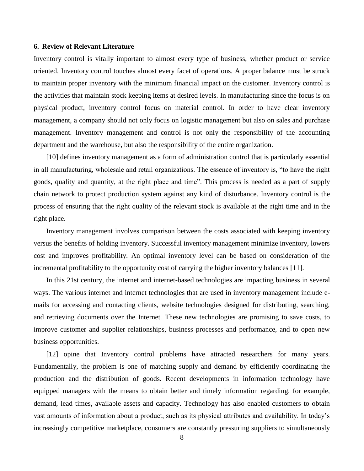#### **6. Review of Relevant Literature**

Inventory control is vitally important to almost every type of business, whether product or service oriented. Inventory control touches almost every facet of operations. A proper balance must be struck to maintain proper inventory with the minimum financial impact on the customer. Inventory control is the activities that maintain stock keeping items at desired levels. In manufacturing since the focus is on physical product, inventory control focus on material control. In order to have clear inventory management, a company should not only focus on logistic management but also on sales and purchase management. Inventory management and control is not only the responsibility of the accounting department and the warehouse, but also the responsibility of the entire organization.

[10] defines inventory management as a form of administration control that is particularly essential in all manufacturing, wholesale and retail organizations. The essence of inventory is, "to have the right goods, quality and quantity, at the right place and time". This process is needed as a part of supply chain network to protect production system against any kind of disturbance. Inventory control is the process of ensuring that the right quality of the relevant stock is available at the right time and in the right place.

Inventory management involves comparison between the costs associated with keeping inventory versus the benefits of holding inventory. Successful inventory management minimize inventory, lowers cost and improves profitability. An optimal inventory level can be based on consideration of the incremental profitability to the opportunity cost of carrying the higher inventory balances [11].

In this 21st century, the internet and internet-based technologies are impacting business in several ways. The various internet and internet technologies that are used in inventory management include emails for accessing and contacting clients, website technologies designed for distributing, searching, and retrieving documents over the Internet. These new technologies are promising to save costs, to improve customer and supplier relationships, business processes and performance, and to open new business opportunities.

[12] opine that Inventory control problems have attracted researchers for many years. Fundamentally, the problem is one of matching supply and demand by efficiently coordinating the production and the distribution of goods. Recent developments in information technology have equipped managers with the means to obtain better and timely information regarding, for example, demand, lead times, available assets and capacity. Technology has also enabled customers to obtain vast amounts of information about a product, such as its physical attributes and availability. In today's increasingly competitive marketplace, consumers are constantly pressuring suppliers to simultaneously

8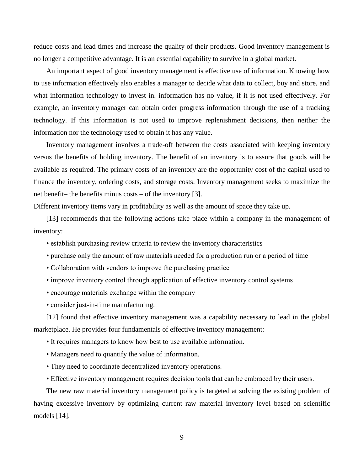reduce costs and lead times and increase the quality of their products. Good inventory management is no longer a competitive advantage. It is an essential capability to survive in a global market.

An important aspect of good inventory management is effective use of information. Knowing how to use information effectively also enables a manager to decide what data to collect, buy and store, and what information technology to invest in. information has no value, if it is not used effectively. For example, an inventory manager can obtain order progress information through the use of a tracking technology. If this information is not used to improve replenishment decisions, then neither the information nor the technology used to obtain it has any value.

Inventory management involves a trade-off between the costs associated with keeping inventory versus the benefits of holding inventory. The benefit of an inventory is to assure that goods will be available as required. The primary costs of an inventory are the opportunity cost of the capital used to finance the inventory, ordering costs, and storage costs. Inventory management seeks to maximize the net benefit– the benefits minus costs – of the inventory [3].

Different inventory items vary in profitability as well as the amount of space they take up.

[13] recommends that the following actions take place within a company in the management of inventory:

- establish purchasing review criteria to review the inventory characteristics
- purchase only the amount of raw materials needed for a production run or a period of time
- Collaboration with vendors to improve the purchasing practice
- improve inventory control through application of effective inventory control systems
- encourage materials exchange within the company
- consider just-in-time manufacturing.

[12] found that effective inventory management was a capability necessary to lead in the global marketplace. He provides four fundamentals of effective inventory management:

- It requires managers to know how best to use available information.
- Managers need to quantify the value of information.
- They need to coordinate decentralized inventory operations.
- Effective inventory management requires decision tools that can be embraced by their users.

The new raw material inventory management policy is targeted at solving the existing problem of having excessive inventory by optimizing current raw material inventory level based on scientific models [14].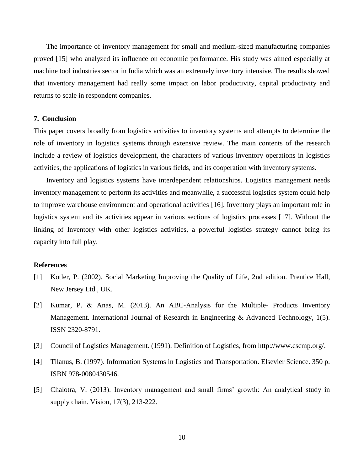The importance of inventory management for small and medium-sized manufacturing companies proved [15] who analyzed its influence on economic performance. His study was aimed especially at machine tool industries sector in India which was an extremely inventory intensive. The results showed that inventory management had really some impact on labor productivity, capital productivity and returns to scale in respondent companies.

# **7. Conclusion**

This paper covers broadly from logistics activities to inventory systems and attempts to determine the role of inventory in logistics systems through extensive review. The main contents of the research include a review of logistics development, the characters of various inventory operations in logistics activities, the applications of logistics in various fields, and its cooperation with inventory systems.

Inventory and logistics systems have interdependent relationships. Logistics management needs inventory management to perform its activities and meanwhile, a successful logistics system could help to improve warehouse environment and operational activities [16]. Inventory plays an important role in logistics system and its activities appear in various sections of logistics processes [17]. Without the linking of Inventory with other logistics activities, a powerful logistics strategy cannot bring its capacity into full play.

# **References**

- [1] Kotler, P. (2002). Social Marketing Improving the Quality of Life, 2nd edition. Prentice Hall, New Jersey Ltd., UK.
- [2] Kumar, P. & Anas, M. (2013). An ABC-Analysis for the Multiple- Products Inventory Management. International Journal of Research in Engineering & Advanced Technology, 1(5). ISSN 2320-8791.
- [3] Council of Logistics Management. (1991). Definition of Logistics, from http://www.cscmp.org/.
- [4] Tilanus, B. (1997). Information Systems in Logistics and Transportation. Elsevier Science. 350 p. ISBN 978-0080430546.
- [5] Chalotra, V. (2013). Inventory management and small firms' growth: An analytical study in supply chain. Vision, 17(3), 213-222.